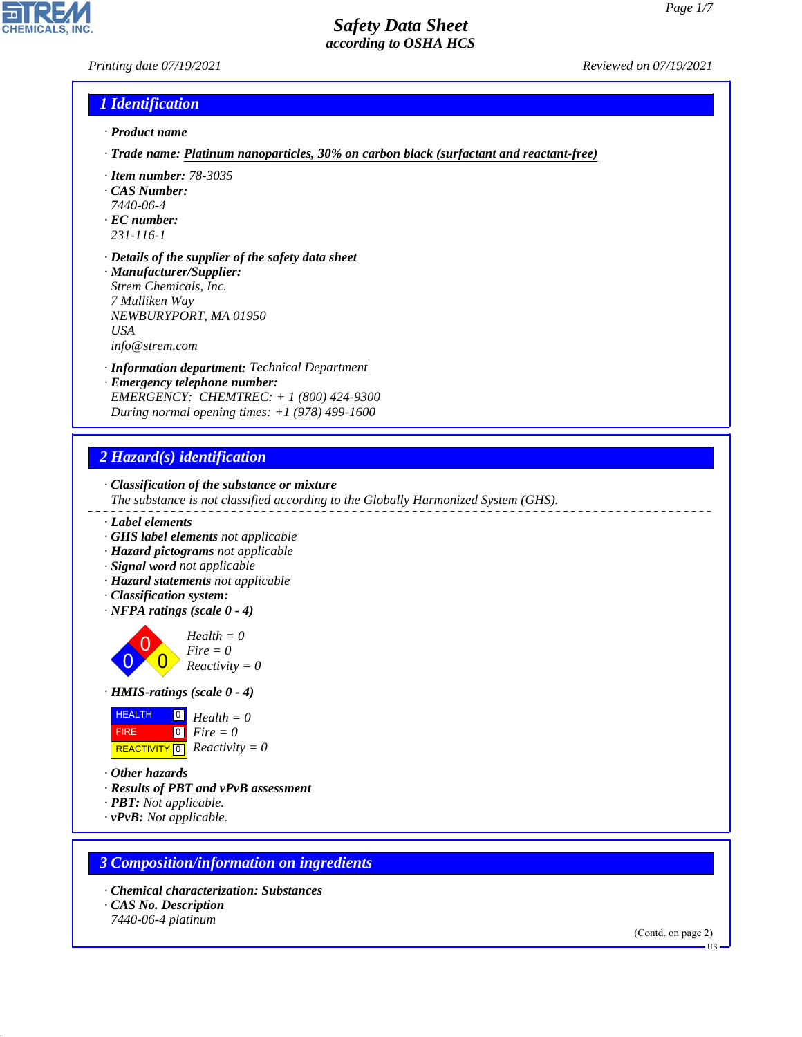# *Printing date 07/19/2021 Reviewed on 07/19/2021*

**CHEMICALS, INC** 

# *1 Identification*

- *· Product name*
- *· Trade name: Platinum nanoparticles, 30% on carbon black (surfactant and reactant-free)*
- *· Item number: 78-3035*
- *· CAS Number:*
- *7440-06-4*
- *· EC number:*
- *231-116-1*
- *· Details of the supplier of the safety data sheet · Manufacturer/Supplier:*
- *Strem Chemicals, Inc. 7 Mulliken Way NEWBURYPORT, MA 01950 USA info@strem.com*
- *· Information department: Technical Department*
- *· Emergency telephone number: EMERGENCY: CHEMTREC: + 1 (800) 424-9300 During normal opening times: +1 (978) 499-1600*

### *2 Hazard(s) identification*

- *· Classification of the substance or mixture The substance is not classified according to the Globally Harmonized System (GHS).*
- *· Label elements*
- *· GHS label elements not applicable*
- *· Hazard pictograms not applicable*
- *· Signal word not applicable*
- *· Hazard statements not applicable*
- *· Classification system:*
- *· NFPA ratings (scale 0 4)*

0 0  $\overline{\mathbf{0}}$ *Health = 0 Fire = 0 Reactivity = 0*

*· HMIS-ratings (scale 0 - 4)*



- *· Other hazards*
- *· Results of PBT and vPvB assessment*
- *· PBT: Not applicable.*
- *· vPvB: Not applicable.*

### *3 Composition/information on ingredients*

- *· Chemical characterization: Substances*
- *· CAS No. Description*

44.1.1

*7440-06-4 platinum*

(Contd. on page 2) US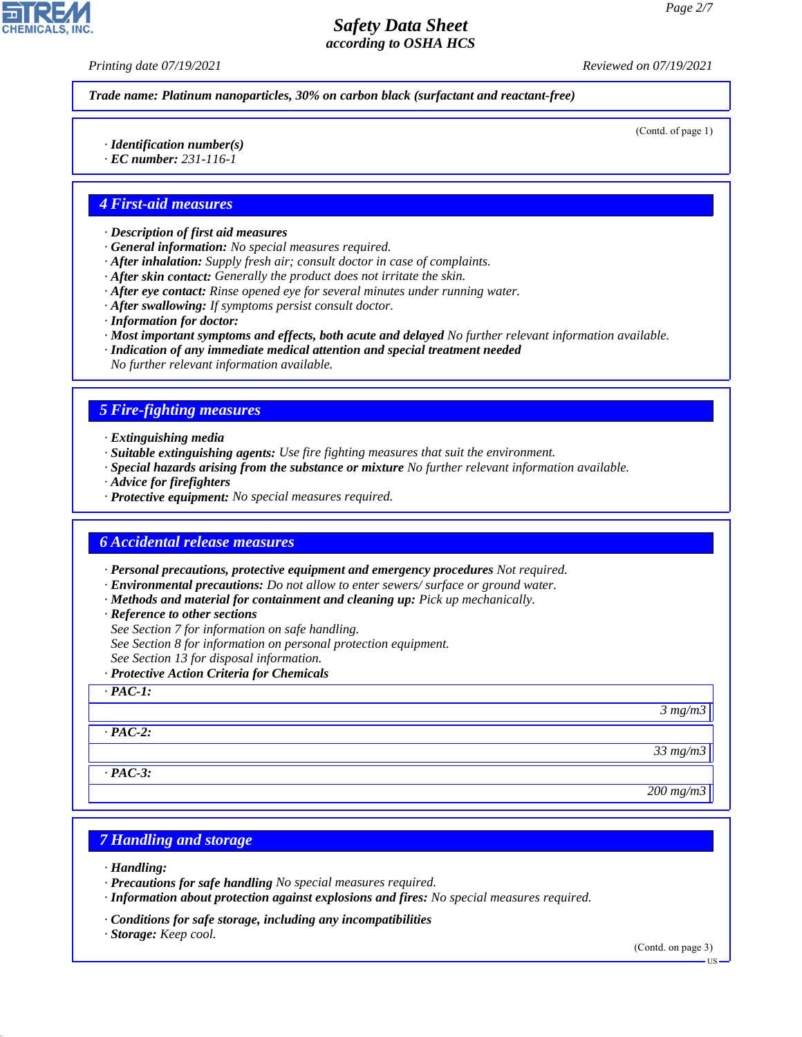*Printing date 07/19/2021 Reviewed on 07/19/2021*

*Trade name: Platinum nanoparticles, 30% on carbon black (surfactant and reactant-free)*

(Contd. of page 1)

*· Identification number(s)*

*· EC number: 231-116-1*

### *4 First-aid measures*

- *· Description of first aid measures*
- *· General information: No special measures required.*
- *· After inhalation: Supply fresh air; consult doctor in case of complaints.*
- *· After skin contact: Generally the product does not irritate the skin.*
- *· After eye contact: Rinse opened eye for several minutes under running water.*
- *· After swallowing: If symptoms persist consult doctor.*
- *· Information for doctor:*
- *· Most important symptoms and effects, both acute and delayed No further relevant information available.*
- *· Indication of any immediate medical attention and special treatment needed No further relevant information available.*

### *5 Fire-fighting measures*

- *· Extinguishing media*
- *· Suitable extinguishing agents: Use fire fighting measures that suit the environment.*
- *· Special hazards arising from the substance or mixture No further relevant information available.*
- *· Advice for firefighters*
- *· Protective equipment: No special measures required.*

### *6 Accidental release measures*

- *· Personal precautions, protective equipment and emergency procedures Not required.*
- *· Environmental precautions: Do not allow to enter sewers/ surface or ground water.*
- *· Methods and material for containment and cleaning up: Pick up mechanically.*
- *· Reference to other sections*
- *See Section 7 for information on safe handling.*
- *See Section 8 for information on personal protection equipment.*
- *See Section 13 for disposal information.*
- *· Protective Action Criteria for Chemicals*

### *· PAC-1:*

*3 mg/m3*

*33 mg/m3*

*· PAC-3:*

*· PAC-2:*

#### *200 mg/m3*

### *7 Handling and storage*

*· Handling:*

44.1.1

- *· Precautions for safe handling No special measures required.*
- *· Information about protection against explosions and fires: No special measures required.*
- *· Conditions for safe storage, including any incompatibilities*
- *· Storage: Keep cool.*

(Contd. on page 3)

**HS**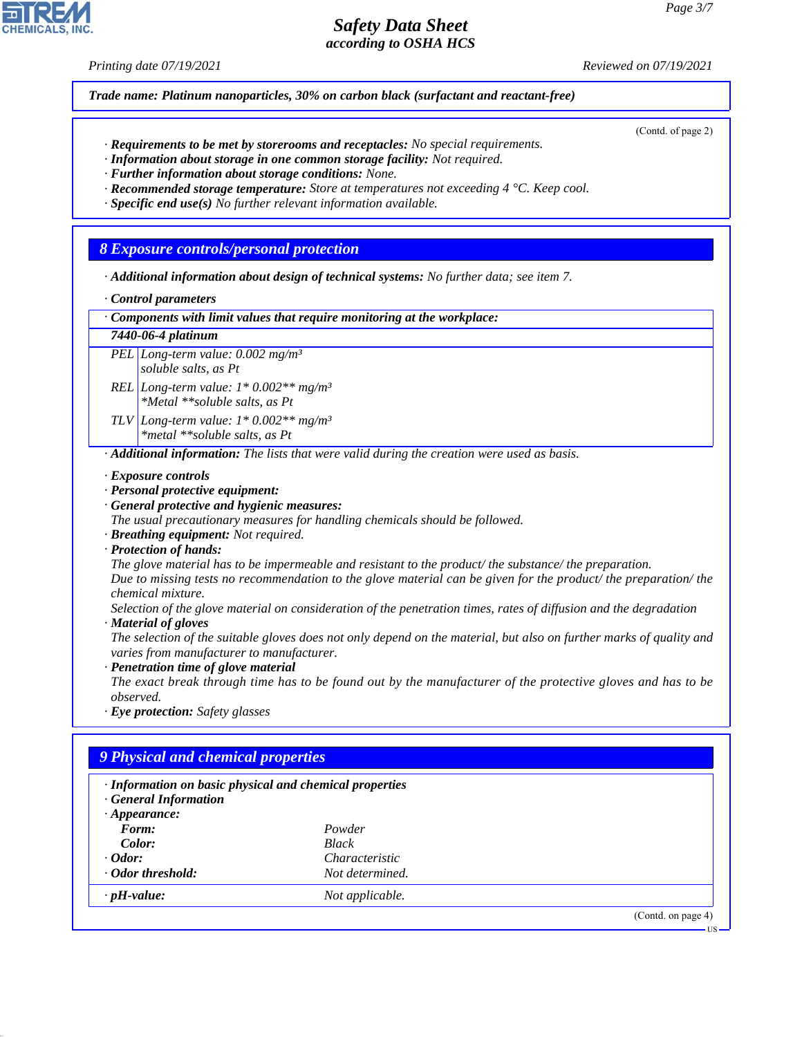### *Printing date 07/19/2021 Reviewed on 07/19/2021*

(Contd. of page 2)

*Trade name: Platinum nanoparticles, 30% on carbon black (surfactant and reactant-free)*

- *· Requirements to be met by storerooms and receptacles: No special requirements.*
- *· Information about storage in one common storage facility: Not required.*
- *· Further information about storage conditions: None.*
- *· Recommended storage temperature: Store at temperatures not exceeding 4 °C. Keep cool.*
- *· Specific end use(s) No further relevant information available.*

# *8 Exposure controls/personal protection*

- *· Additional information about design of technical systems: No further data; see item 7.*
- *· Control parameters*

*· Components with limit values that require monitoring at the workplace:*

- *7440-06-4 platinum*
- *PEL Long-term value: 0.002 mg/m³ soluble salts, as Pt*
- *REL Long-term value: 1\* 0.002\*\* mg/m³ \*Metal \*\*soluble salts, as Pt*
- *TLV Long-term value: 1\* 0.002\*\* mg/m³ \*metal \*\*soluble salts, as Pt*

*· Additional information: The lists that were valid during the creation were used as basis.*

- *· Exposure controls*
- *· Personal protective equipment:*
- *· General protective and hygienic measures:*

*The usual precautionary measures for handling chemicals should be followed.*

- *· Breathing equipment: Not required.*
- *· Protection of hands:*

*The glove material has to be impermeable and resistant to the product/ the substance/ the preparation. Due to missing tests no recommendation to the glove material can be given for the product/ the preparation/ the chemical mixture.*

*Selection of the glove material on consideration of the penetration times, rates of diffusion and the degradation · Material of gloves*

*The selection of the suitable gloves does not only depend on the material, but also on further marks of quality and varies from manufacturer to manufacturer.*

*· Penetration time of glove material*

*The exact break through time has to be found out by the manufacturer of the protective gloves and has to be observed.*

*· Eye protection: Safety glasses*

44.1.1

# *9 Physical and chemical properties*

| · Information on basic physical and chemical properties<br><b>General Information</b> |                       |                    |
|---------------------------------------------------------------------------------------|-----------------------|--------------------|
| $\cdot$ Appearance:                                                                   |                       |                    |
| Form:                                                                                 | Powder                |                    |
| Color:                                                                                | <b>Black</b>          |                    |
| $\cdot$ Odor:                                                                         | <i>Characteristic</i> |                    |
| · Odor threshold:                                                                     | Not determined.       |                    |
| $\cdot$ pH-value:                                                                     | Not applicable.       |                    |
|                                                                                       |                       | (Contd. on page 4) |
|                                                                                       |                       | $US -$             |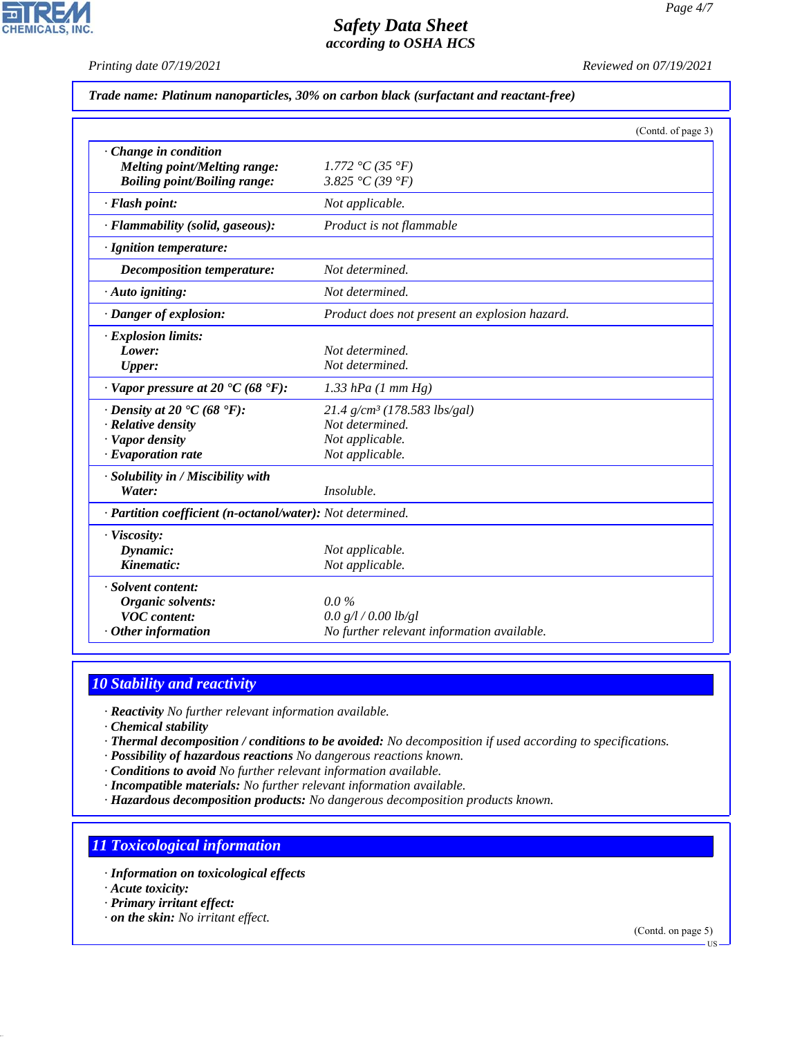*Printing date 07/19/2021 Reviewed on 07/19/2021*

*Trade name: Platinum nanoparticles, 30% on carbon black (surfactant and reactant-free)*

|                                                                                                                            | (Contd. of page 3)                                                                                  |  |
|----------------------------------------------------------------------------------------------------------------------------|-----------------------------------------------------------------------------------------------------|--|
| Change in condition<br>Melting point/Melting range:<br><b>Boiling point/Boiling range:</b>                                 | 1.772 °C (35 °F)<br>3.825 °C (39 °F)                                                                |  |
| · Flash point:                                                                                                             | Not applicable.                                                                                     |  |
| · Flammability (solid, gaseous):                                                                                           | Product is not flammable                                                                            |  |
| · Ignition temperature:                                                                                                    |                                                                                                     |  |
| <b>Decomposition temperature:</b>                                                                                          | Not determined.                                                                                     |  |
| · Auto igniting:                                                                                                           | Not determined.                                                                                     |  |
| · Danger of explosion:                                                                                                     | Product does not present an explosion hazard.                                                       |  |
| $\cdot$ Explosion limits:<br>Lower:<br>Upper:                                                                              | Not determined.<br>Not determined.                                                                  |  |
| $\cdot$ Vapor pressure at 20 $\cdot$ C (68 $\cdot$ F):                                                                     | $1.33$ hPa $(1 \text{ mm Hg})$                                                                      |  |
| $\cdot$ Density at 20 $\cdot$ C (68 $\cdot$ F):<br>$\cdot$ Relative density<br>· Vapor density<br>$\cdot$ Evaporation rate | $21.4$ g/cm <sup>3</sup> (178.583 lbs/gal)<br>Not determined.<br>Not applicable.<br>Not applicable. |  |
| · Solubility in / Miscibility with<br>Water:                                                                               | Insoluble.                                                                                          |  |
| · Partition coefficient (n-octanol/water): Not determined.                                                                 |                                                                                                     |  |
| · Viscosity:<br>Dynamic:<br>Kinematic:                                                                                     | Not applicable.<br>Not applicable.                                                                  |  |
| · Solvent content:<br>Organic solvents:<br><b>VOC</b> content:<br>$\cdot$ Other information                                | $0.0\%$<br>0.0 g/l / 0.00 lb/gl<br>No further relevant information available.                       |  |

# *10 Stability and reactivity*

*· Reactivity No further relevant information available.*

*· Chemical stability*

- *· Thermal decomposition / conditions to be avoided: No decomposition if used according to specifications.*
- *· Possibility of hazardous reactions No dangerous reactions known.*

*· Conditions to avoid No further relevant information available.*

- *· Incompatible materials: No further relevant information available.*
- *· Hazardous decomposition products: No dangerous decomposition products known.*

# *11 Toxicological information*

- *· Information on toxicological effects*
- *· Acute toxicity:*

44.1.1

- *· Primary irritant effect:*
- *· on the skin: No irritant effect.*

(Contd. on page 5) US

*Page 4/7*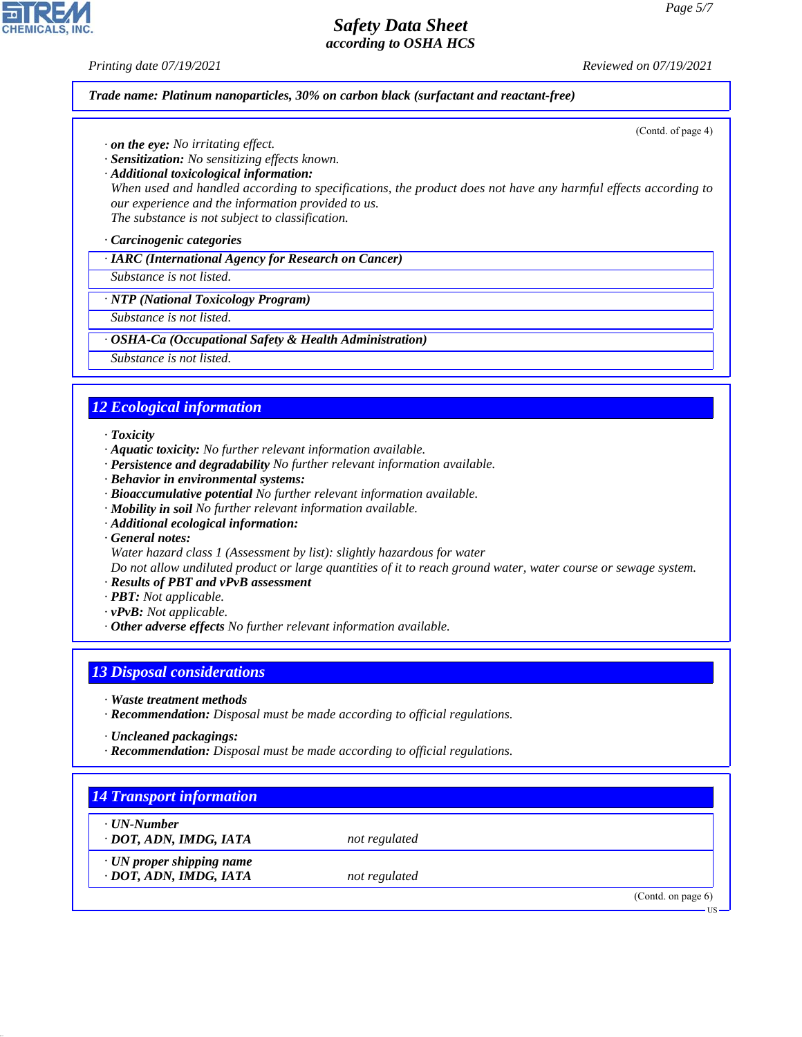**CHEMICALS, INC** 

*Printing date 07/19/2021 Reviewed on 07/19/2021*

(Contd. of page 4)

*Trade name: Platinum nanoparticles, 30% on carbon black (surfactant and reactant-free)*

- *· on the eye: No irritating effect.*
- *· Sensitization: No sensitizing effects known.*
- *· Additional toxicological information:*

*When used and handled according to specifications, the product does not have any harmful effects according to our experience and the information provided to us.*

*The substance is not subject to classification.*

*· Carcinogenic categories*

*· IARC (International Agency for Research on Cancer)*

*Substance is not listed.*

### *· NTP (National Toxicology Program)*

*Substance is not listed.*

### *· OSHA-Ca (Occupational Safety & Health Administration)*

*Substance is not listed.*

# *12 Ecological information*

### *· Toxicity*

- *· Aquatic toxicity: No further relevant information available.*
- *· Persistence and degradability No further relevant information available.*
- *· Behavior in environmental systems:*
- *· Bioaccumulative potential No further relevant information available.*
- *· Mobility in soil No further relevant information available.*
- *· Additional ecological information:*
- *· General notes:*
- *Water hazard class 1 (Assessment by list): slightly hazardous for water*

*Do not allow undiluted product or large quantities of it to reach ground water, water course or sewage system.*

- *· Results of PBT and vPvB assessment*
- *· PBT: Not applicable.*
- *· vPvB: Not applicable.*
- *· Other adverse effects No further relevant information available.*

# *13 Disposal considerations*

- *· Waste treatment methods*
- *· Recommendation: Disposal must be made according to official regulations.*
- *· Uncleaned packagings:*

44.1.1

*· Recommendation: Disposal must be made according to official regulations.*

| · UN-Number                     |               |  |
|---------------------------------|---------------|--|
| · DOT, ADN, IMDG, IATA          | not regulated |  |
| $\cdot$ UN proper shipping name |               |  |
| · DOT, ADN, IMDG, IATA          | not regulated |  |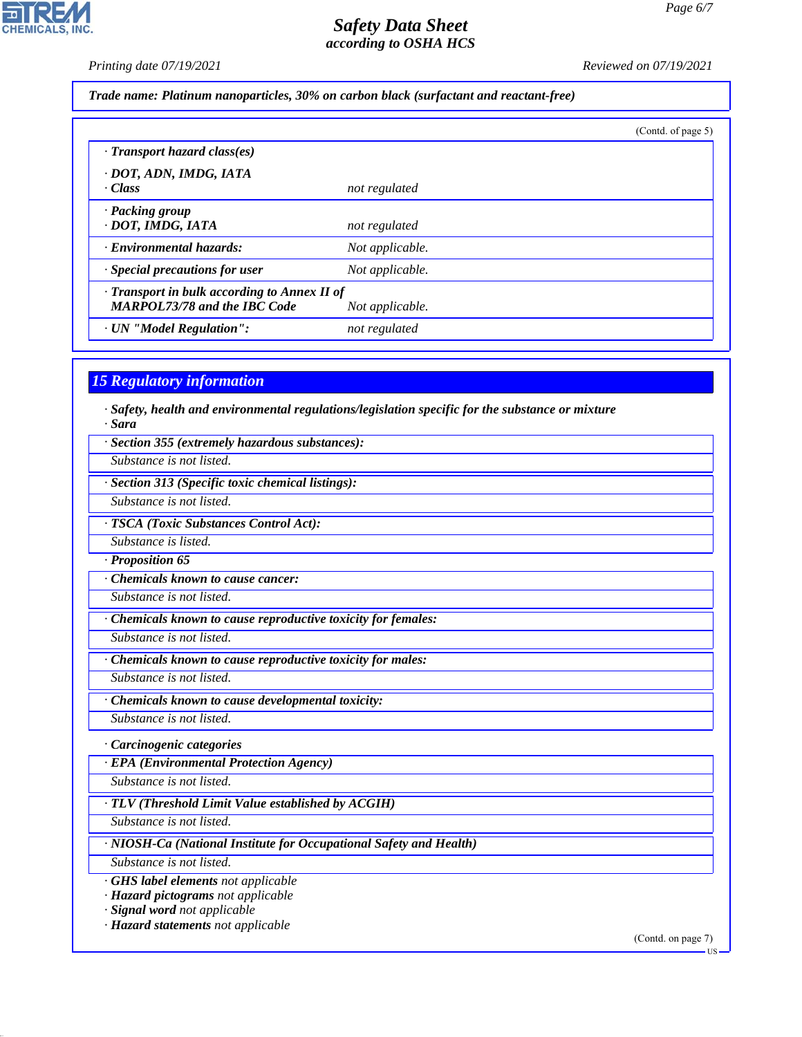Ŕ

**CHEMICALS, INC.** 

*Printing date 07/19/2021 Reviewed on 07/19/2021*

*Trade name: Platinum nanoparticles, 30% on carbon black (surfactant and reactant-free)*

|                                              |                 | (Contd. of page 5) |
|----------------------------------------------|-----------------|--------------------|
| · Transport hazard class(es)                 |                 |                    |
| · DOT, ADN, IMDG, IATA                       |                 |                    |
| · Class                                      | not regulated   |                    |
| · Packing group                              |                 |                    |
| · DOT, IMDG, IATA                            | not regulated   |                    |
| · Environmental hazards:                     | Not applicable. |                    |
| · Special precautions for user               | Not applicable. |                    |
| · Transport in bulk according to Annex II of |                 |                    |
| <b>MARPOL73/78 and the IBC Code</b>          | Not applicable. |                    |
| · UN "Model Regulation":                     | not regulated   |                    |

### *15 Regulatory information*

- *· Safety, health and environmental regulations/legislation specific for the substance or mixture · Sara*
- *· Section 355 (extremely hazardous substances):*

*Substance is not listed.*

*· Section 313 (Specific toxic chemical listings):*

*Substance is not listed.*

*· TSCA (Toxic Substances Control Act):*

*Substance is listed.*

*· Proposition 65*

*· Chemicals known to cause cancer:*

*Substance is not listed.*

*· Chemicals known to cause reproductive toxicity for females:*

*Substance is not listed.*

*· Chemicals known to cause reproductive toxicity for males:*

*Substance is not listed.*

*· Chemicals known to cause developmental toxicity:*

*Substance is not listed.*

*· Carcinogenic categories*

*· EPA (Environmental Protection Agency)*

*Substance is not listed.*

*· TLV (Threshold Limit Value established by ACGIH)*

*Substance is not listed.*

*· NIOSH-Ca (National Institute for Occupational Safety and Health)*

*Substance is not listed.*

44.1.1

*· GHS label elements not applicable*

*· Hazard pictograms not applicable*

*· Signal word not applicable*

*· Hazard statements not applicable*

(Contd. on page 7)

US